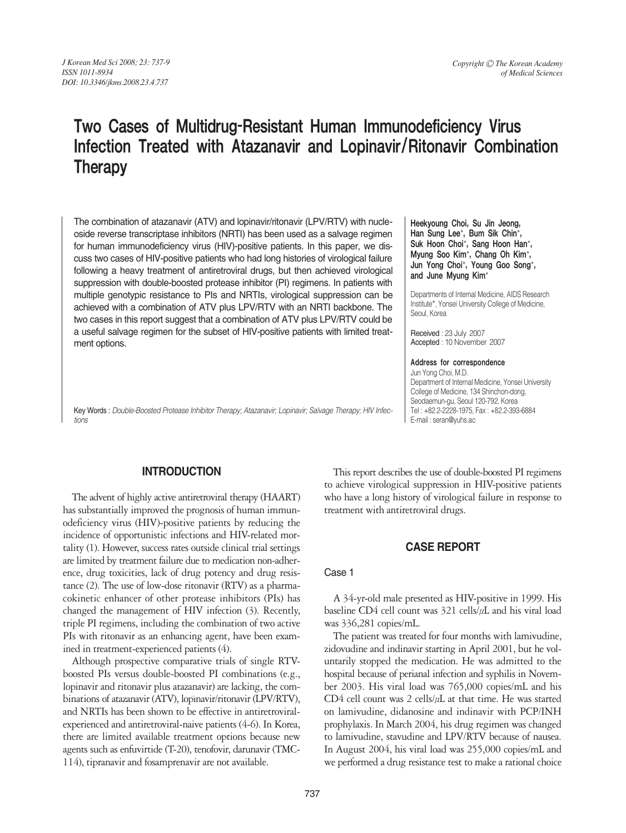# Two Cases of Multidrug-Resistant Human Immunodeficiency Virus Infection Treated with Atazanavir and Lopinavir/Ritonavir Combination **Therapy**

The combination of atazanavir (ATV) and lopinavir/ritonavir (LPV/RTV) with nucleoside reverse transcriptase inhibitors (NRTI) has been used as a salvage regimen for human immunodeficiency virus (HIV)-positive patients. In this paper, we discuss two cases of HIV-positive patients who had long histories of virological failure following a heavy treatment of antiretroviral drugs, but then achieved virological suppression with double-boosted protease inhibitor (PI) regimens. In patients with multiple genotypic resistance to PIs and NRTIs, virological suppression can be achieved with a combination of ATV plus LPV/RTV with an NRTI backbone. The two cases in this report suggest that a combination of ATV plus LPV/RTV could be a useful salvage regimen for the subset of HIV-positive patients with limited treatment options.

Key Words : *Double-Boosted Protease Inhibitor Therapy; Atazanavir; Lopinavir; Salvage Therapy; HIV Infections*

Heekyoung Choi, Su Jin Jeong, Han Sung Lee\*, Bum Sik Chin\*, Suk Hoon Choi\*, Sang Hoon Han\*, Myung Soo Kim\*, Chang Oh Kim\*, Jun Yong Choi\*, Young Goo Song\*, and June Myung Kim\*

Departments of Internal Medicine, AIDS Research Institute\*, Yonsei University College of Medicine, Seoul, Korea

Received : 23 July 2007 Accepted : 10 November 2007

Address for correspondence

Jun Yong Choi, M.D. Department of Internal Medicine, Yonsei University College of Medicine, 134 Shinchon-dong, Seodaemun-gu, Seoul 120-792, Korea Tel : +82.2-2228-1975, Fax : +82.2-393-6884 E-mail : seran@yuhs.ac

## **INTRODUCTION**

The advent of highly active antiretroviral therapy (HAART) has substantially improved the prognosis of human immunodeficiency virus (HIV)-positive patients by reducing the incidence of opportunistic infections and HIV-related mortality (1). However, success rates outside clinical trial settings are limited by treatment failure due to medication non-adherence, drug toxicities, lack of drug potency and drug resistance (2). The use of low-dose ritonavir (RTV) as a pharmacokinetic enhancer of other protease inhibitors (PIs) has changed the management of HIV infection (3). Recently, triple PI regimens, including the combination of two active PIs with ritonavir as an enhancing agent, have been examined in treatment-experienced patients (4).

Although prospective comparative trials of single RTVboosted PIs versus double-boosted PI combinations (e.g., lopinavir and ritonavir plus atazanavir) are lacking, the combinations of atazanavir (ATV), lopinavir/ritonavir (LPV/RTV), and NRTIs has been shown to be effective in antiretroviralexperienced and antiretroviral-naive patients (4-6). In Korea, there are limited available treatment options because new agents such as enfuvirtide (T-20), tenofovir, darunavir (TMC-114), tipranavir and fosamprenavir are not available.

This report describes the use of double-boosted PI regimens to achieve virological suppression in HIV-positive patients who have a long history of virological failure in response to treatment with antiretroviral drugs.

## **CASE REPORT**

#### Case 1

A 34-yr-old male presented as HIV-positive in 1999. His baseline CD4 cell count was 321 cells/μL and his viral load was 336,281 copies/mL.

The patient was treated for four months with lamivudine, zidovudine and indinavir starting in April 2001, but he voluntarily stopped the medication. He was admitted to the hospital because of perianal infection and syphilis in November 2003. His viral load was 765,000 copies/mL and his CD4 cell count was 2 cells/ $\mu$ L at that time. He was started on lamivudine, didanosine and indinavir with PCP/INH prophylaxis. In March 2004, his drug regimen was changed to lamivudine, stavudine and LPV/RTV because of nausea. In August 2004, his viral load was 255,000 copies/mL and we performed a drug resistance test to make a rational choice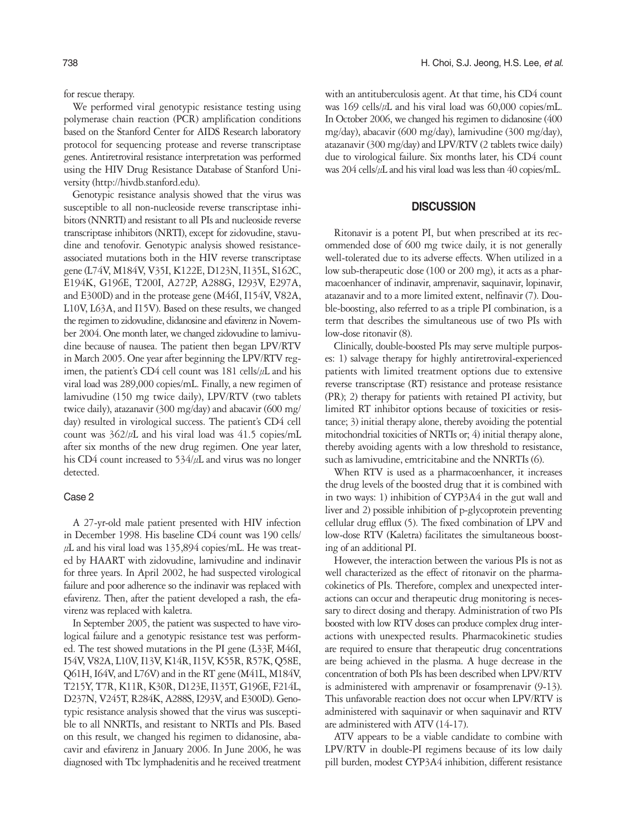for rescue therapy.

We performed viral genotypic resistance testing using polymerase chain reaction (PCR) amplification conditions based on the Stanford Center for AIDS Research laboratory protocol for sequencing protease and reverse transcriptase genes. Antiretroviral resistance interpretation was performed using the HIV Drug Resistance Database of Stanford University (http://hivdb.stanford.edu).

Genotypic resistance analysis showed that the virus was susceptible to all non-nucleoside reverse transcriptase inhibitors (NNRTI) and resistant to all PIs and nucleoside reverse transcriptase inhibitors (NRTI), except for zidovudine, stavudine and tenofovir. Genotypic analysis showed resistanceassociated mutations both in the HIV reverse transcriptase gene (L74V, M184V, V35I, K122E, D123N, I135L, S162C, E194K, G196E, T200I, A272P, A288G, I293V, E297A, and E300D) and in the protease gene (M46I, I154V, V82A, L10V, L63A, and I15V). Based on these results, we changed the regimen to zidovudine, didanosine and efavirenz in November 2004. One month later, we changed zidovudine to lamivudine because of nausea. The patient then began LPV/RTV in March 2005. One year after beginning the LPV/RTV regimen, the patient's CD4 cell count was 181 cells/μL and his viral load was 289,000 copies/mL. Finally, a new regimen of lamivudine (150 mg twice daily), LPV/RTV (two tablets twice daily), atazanavir (300 mg/day) and abacavir (600 mg/ day) resulted in virological success. The patient's CD4 cell count was 362/μL and his viral load was 41.5 copies/mL after six months of the new drug regimen. One year later, his CD4 count increased to 534/μL and virus was no longer detected.

#### Case 2

A 27-yr-old male patient presented with HIV infection in December 1998. His baseline CD4 count was 190 cells/  $\mu$ L and his viral load was 135,894 copies/mL. He was treated by HAART with zidovudine, lamivudine and indinavir for three years. In April 2002, he had suspected virological failure and poor adherence so the indinavir was replaced with efavirenz. Then, after the patient developed a rash, the efavirenz was replaced with kaletra.

In September 2005, the patient was suspected to have virological failure and a genotypic resistance test was performed. The test showed mutations in the PI gene (L33F, M46I, I54V, V82A, L10V, I13V, K14R, I15V, K55R, R57K, Q58E, Q61H, I64V, and L76V) and in the RT gene (M41L, M184V, T215Y, T7R, K11R, K30R, D123E, I135T, G196E, F214L, D237N, V245T, R284K, A288S, I293V, and E300D). Genotypic resistance analysis showed that the virus was susceptible to all NNRTIs, and resistant to NRTIs and PIs. Based on this result, we changed his regimen to didanosine, abacavir and efavirenz in January 2006. In June 2006, he was diagnosed with Tbc lymphadenitis and he received treatment with an antituberculosis agent. At that time, his CD4 count was 169 cells/μL and his viral load was 60,000 copies/mL. In October 2006, we changed his regimen to didanosine (400 mg/day), abacavir (600 mg/day), lamivudine (300 mg/day), atazanavir (300 mg/day) and LPV/RTV (2 tablets twice daily) due to virological failure. Six months later, his CD4 count was 204 cells/μL and his viral load was less than 40 copies/mL.

## **DISCUSSION**

Ritonavir is a potent PI, but when prescribed at its recommended dose of 600 mg twice daily, it is not generally well-tolerated due to its adverse effects. When utilized in a low sub-therapeutic dose (100 or 200 mg), it acts as a pharmacoenhancer of indinavir, amprenavir, saquinavir, lopinavir, atazanavir and to a more limited extent, nelfinavir (7). Double-boosting, also referred to as a triple PI combination, is a term that describes the simultaneous use of two PIs with low-dose ritonavir (8).

Clinically, double-boosted PIs may serve multiple purposes: 1) salvage therapy for highly antiretroviral-experienced patients with limited treatment options due to extensive reverse transcriptase (RT) resistance and protease resistance (PR); 2) therapy for patients with retained PI activity, but limited RT inhibitor options because of toxicities or resistance; 3) initial therapy alone, thereby avoiding the potential mitochondrial toxicities of NRTIs or; 4) initial therapy alone, thereby avoiding agents with a low threshold to resistance, such as lamivudine, emtricitabine and the NNRTIs (6).

When RTV is used as a pharmacoenhancer, it increases the drug levels of the boosted drug that it is combined with in two ways: 1) inhibition of CYP3A4 in the gut wall and liver and 2) possible inhibition of p-glycoprotein preventing cellular drug efflux (5). The fixed combination of LPV and low-dose RTV (Kaletra) facilitates the simultaneous boosting of an additional PI.

However, the interaction between the various PIs is not as well characterized as the effect of ritonavir on the pharmacokinetics of PIs. Therefore, complex and unexpected interactions can occur and therapeutic drug monitoring is necessary to direct dosing and therapy. Administration of two PIs boosted with low RTV doses can produce complex drug interactions with unexpected results. Pharmacokinetic studies are required to ensure that therapeutic drug concentrations are being achieved in the plasma. A huge decrease in the concentration of both PIs has been described when LPV/RTV is administered with amprenavir or fosamprenavir (9-13). This unfavorable reaction does not occur when LPV/RTV is administered with saquinavir or when saquinavir and RTV are administered with ATV (14-17).

ATV appears to be a viable candidate to combine with LPV/RTV in double-PI regimens because of its low daily pill burden, modest CYP3A4 inhibition, different resistance